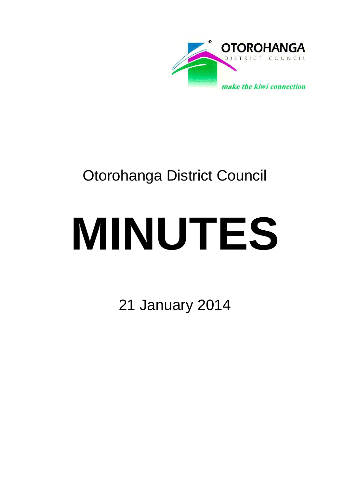

## Otorohanga District Council

# **MINUTES**

21 January 2014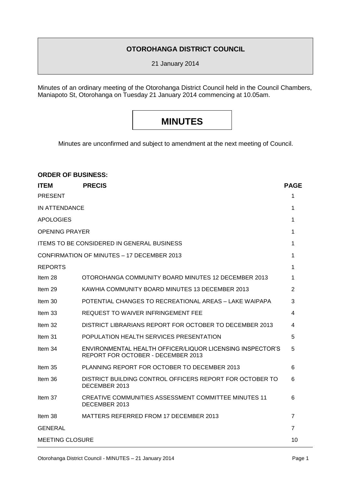#### **OTOROHANGA DISTRICT COUNCIL**

21 January 2014

Minutes of an ordinary meeting of the Otorohanga District Council held in the Council Chambers, Maniapoto St, Otorohanga on Tuesday 21 January 2014 commencing at 10.05am.

### **MINUTES**

Minutes are unconfirmed and subject to amendment at the next meeting of Council.

| <b>ORDER OF BUSINESS:</b>                  |                                                                                                 |                |
|--------------------------------------------|-------------------------------------------------------------------------------------------------|----------------|
| <b>ITEM</b>                                | <b>PRECIS</b>                                                                                   | <b>PAGE</b>    |
| <b>PRESENT</b>                             |                                                                                                 | 1              |
| IN ATTENDANCE                              |                                                                                                 | 1              |
| APOLOGIES                                  |                                                                                                 | 1              |
| <b>OPENING PRAYER</b>                      |                                                                                                 | 1              |
| ITEMS TO BE CONSIDERED IN GENERAL BUSINESS |                                                                                                 | 1              |
| CONFIRMATION OF MINUTES - 17 DECEMBER 2013 |                                                                                                 | 1              |
| <b>REPORTS</b>                             |                                                                                                 | 1              |
| Item 28                                    | OTOROHANGA COMMUNITY BOARD MINUTES 12 DECEMBER 2013                                             | 1              |
| Item 29                                    | KAWHIA COMMUNITY BOARD MINUTES 13 DECEMBER 2013                                                 | 2              |
| Item 30                                    | POTENTIAL CHANGES TO RECREATIONAL AREAS – LAKE WAIPAPA                                          | 3              |
| Item 33                                    | REQUEST TO WAIVER INFRINGEMENT FEE                                                              | 4              |
| Item 32                                    | DISTRICT LIBRARIANS REPORT FOR OCTOBER TO DECEMBER 2013                                         | 4              |
| Item 31                                    | POPULATION HEALTH SERVICES PRESENTATION                                                         | 5              |
| Item 34                                    | ENVIRONMENTAL HEALTH OFFICER/LIQUOR LICENSING INSPECTOR'S<br>REPORT FOR OCTOBER - DECEMBER 2013 | 5              |
| Item 35                                    | PLANNING REPORT FOR OCTOBER TO DECEMBER 2013                                                    | 6              |
| Item 36                                    | DISTRICT BUILDING CONTROL OFFICERS REPORT FOR OCTOBER TO<br>DECEMBER 2013                       | 6              |
| Item 37                                    | CREATIVE COMMUNITIES ASSESSMENT COMMITTEE MINUTES 11<br>DECEMBER 2013                           | 6              |
| Item 38                                    | MATTERS REFERRED FROM 17 DECEMBER 2013                                                          | $\overline{7}$ |
| <b>GENERAL</b>                             |                                                                                                 | 7              |
| <b>MEETING CLOSURE</b>                     |                                                                                                 | 10             |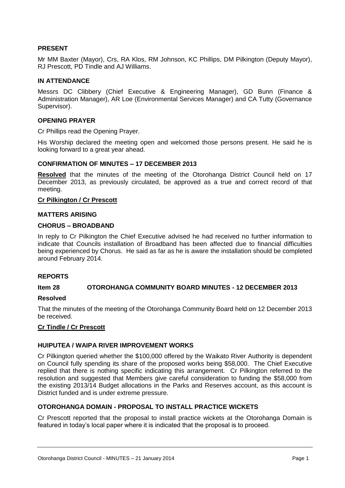#### **PRESENT**

Mr MM Baxter (Mayor), Crs, RA Klos, RM Johnson, KC Phillips, DM Pilkington (Deputy Mayor), RJ Prescott, PD Tindle and AJ Williams.

#### **IN ATTENDANCE**

Messrs DC Clibbery (Chief Executive & Engineering Manager), GD Bunn (Finance & Administration Manager), AR Loe (Environmental Services Manager) and CA Tutty (Governance Supervisor).

#### **OPENING PRAYER**

Cr Phillips read the Opening Prayer.

His Worship declared the meeting open and welcomed those persons present. He said he is looking forward to a great year ahead.

#### **CONFIRMATION OF MINUTES – 17 DECEMBER 2013**

**Resolved** that the minutes of the meeting of the Otorohanga District Council held on 17 December 2013, as previously circulated, be approved as a true and correct record of that meeting.

#### **Cr Pilkington / Cr Prescott**

#### **MATTERS ARISING**

#### **CHORUS – BROADBAND**

In reply to Cr Pilkington the Chief Executive advised he had received no further information to indicate that Councils installation of Broadband has been affected due to financial difficulties being experienced by Chorus. He said as far as he is aware the installation should be completed around February 2014.

#### **REPORTS**

#### **Item 28 OTOROHANGA COMMUNITY BOARD MINUTES - 12 DECEMBER 2013**

#### **Resolved**

That the minutes of the meeting of the Otorohanga Community Board held on 12 December 2013 be received.

#### **Cr Tindle / Cr Prescott**

#### **HUIPUTEA / WAIPA RIVER IMPROVEMENT WORKS**

Cr Pilkington queried whether the \$100,000 offered by the Waikato River Authority is dependent on Council fully spending its share of the proposed works being \$58,000. The Chief Executive replied that there is nothing specific indicating this arrangement. Cr Pilkington referred to the resolution and suggested that Members give careful consideration to funding the \$58,000 from the existing 2013/14 Budget allocations in the Parks and Reserves account, as this account is District funded and is under extreme pressure.

#### **OTOROHANGA DOMAIN - PROPOSAL TO INSTALL PRACTICE WICKETS**

Cr Prescott reported that the proposal to install practice wickets at the Otorohanga Domain is featured in today's local paper where it is indicated that the proposal is to proceed.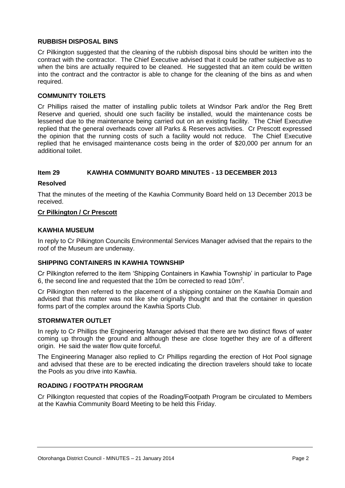#### **RUBBISH DISPOSAL BINS**

Cr Pilkington suggested that the cleaning of the rubbish disposal bins should be written into the contract with the contractor. The Chief Executive advised that it could be rather subjective as to when the bins are actually required to be cleaned. He suggested that an item could be written into the contract and the contractor is able to change for the cleaning of the bins as and when required.

#### **COMMUNITY TOILETS**

Cr Phillips raised the matter of installing public toilets at Windsor Park and/or the Reg Brett Reserve and queried, should one such facility be installed, would the maintenance costs be lessened due to the maintenance being carried out on an existing facility. The Chief Executive replied that the general overheads cover all Parks & Reserves activities. Cr Prescott expressed the opinion that the running costs of such a facility would not reduce. The Chief Executive replied that he envisaged maintenance costs being in the order of \$20,000 per annum for an additional toilet.

#### **Item 29 KAWHIA COMMUNITY BOARD MINUTES - 13 DECEMBER 2013**

#### **Resolved**

That the minutes of the meeting of the Kawhia Community Board held on 13 December 2013 be received.

#### **Cr Pilkington / Cr Prescott**

#### **KAWHIA MUSEUM**

In reply to Cr Pilkington Councils Environmental Services Manager advised that the repairs to the roof of the Museum are underway.

#### **SHIPPING CONTAINERS IN KAWHIA TOWNSHIP**

Cr Pilkington referred to the item 'Shipping Containers in Kawhia Township' in particular to Page 6, the second line and requested that the 10m be corrected to read 10m<sup>2</sup>.

Cr Pilkington then referred to the placement of a shipping container on the Kawhia Domain and advised that this matter was not like she originally thought and that the container in question forms part of the complex around the Kawhia Sports Club.

#### **STORMWATER OUTLET**

In reply to Cr Phillips the Engineering Manager advised that there are two distinct flows of water coming up through the ground and although these are close together they are of a different origin. He said the water flow quite forceful.

The Engineering Manager also replied to Cr Phillips regarding the erection of Hot Pool signage and advised that these are to be erected indicating the direction travelers should take to locate the Pools as you drive into Kawhia.

#### **ROADING / FOOTPATH PROGRAM**

Cr Pilkington requested that copies of the Roading/Footpath Program be circulated to Members at the Kawhia Community Board Meeting to be held this Friday.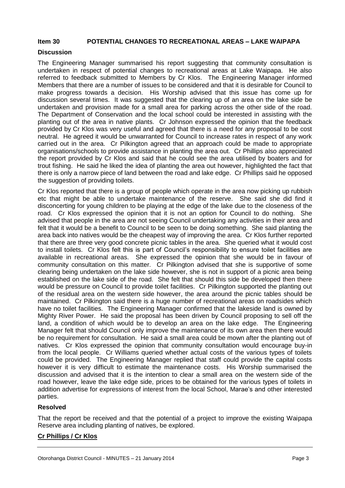#### **Item 30 POTENTIAL CHANGES TO RECREATIONAL AREAS – LAKE WAIPAPA**

#### **Discussion**

The Engineering Manager summarised his report suggesting that community consultation is undertaken in respect of potential changes to recreational areas at Lake Waipapa. He also referred to feedback submitted to Members by Cr Klos. The Engineering Manager informed Members that there are a number of issues to be considered and that it is desirable for Council to make progress towards a decision. His Worship advised that this issue has come up for discussion several times. It was suggested that the clearing up of an area on the lake side be undertaken and provision made for a small area for parking across the other side of the road. The Department of Conservation and the local school could be interested in assisting with the planting out of the area in native plants. Cr Johnson expressed the opinion that the feedback provided by Cr Klos was very useful and agreed that there is a need for any proposal to be cost neutral. He agreed it would be unwarranted for Council to increase rates in respect of any work carried out in the area. Cr Pilkington agreed that an approach could be made to appropriate organisations/schools to provide assistance in planting the area out. Cr Phillips also appreciated the report provided by Cr Klos and said that he could see the area utilised by boaters and for trout fishing. He said he liked the idea of planting the area out however, highlighted the fact that there is only a narrow piece of land between the road and lake edge. Cr Phillips said he opposed the suggestion of providing toilets.

Cr Klos reported that there is a group of people which operate in the area now picking up rubbish etc that might be able to undertake maintenance of the reserve. She said she did find it disconcerting for young children to be playing at the edge of the lake due to the closeness of the road. Cr Klos expressed the opinion that it is not an option for Council to do nothing. She advised that people in the area are not seeing Council undertaking any activities in their area and felt that it would be a benefit to Council to be seen to be doing something. She said planting the area back into natives would be the cheapest way of improving the area. Cr Klos further reported that there are three very good concrete picnic tables in the area. She queried what it would cost to install toilets. Cr Klos felt this is part of Council's responsibility to ensure toilet facilities are available in recreational areas. She expressed the opinion that she would be in favour of community consultation on this matter. Cr Pilkington advised that she is supportive of some clearing being undertaken on the lake side however, she is not in support of a picnic area being established on the lake side of the road. She felt that should this side be developed then there would be pressure on Council to provide toilet facilities. Cr Pilkington supported the planting out of the residual area on the western side however, the area around the picnic tables should be maintained. Cr Pilkington said there is a huge number of recreational areas on roadsides which have no toilet facilities. The Engineering Manager confirmed that the lakeside land is owned by Mighty River Power. He said the proposal has been driven by Council proposing to sell off the land, a condition of which would be to develop an area on the lake edge. The Engineering Manager felt that should Council only improve the maintenance of its own area then there would be no requirement for consultation. He said a small area could be mown after the planting out of natives. Cr Klos expressed the opinion that community consultation would encourage buy-in from the local people. Cr Williams queried whether actual costs of the various types of toilets could be provided. The Engineering Manager replied that staff could provide the capital costs however it is very difficult to estimate the maintenance costs. His Worship summarised the discussion and advised that it is the intention to clear a small area on the western side of the road however, leave the lake edge side, prices to be obtained for the various types of toilets in addition advertise for expressions of interest from the local School, Marae's and other interested parties.

#### **Resolved**

That the report be received and that the potential of a project to improve the existing Waipapa Reserve area including planting of natives, be explored.

#### **Cr Phillips / Cr Klos**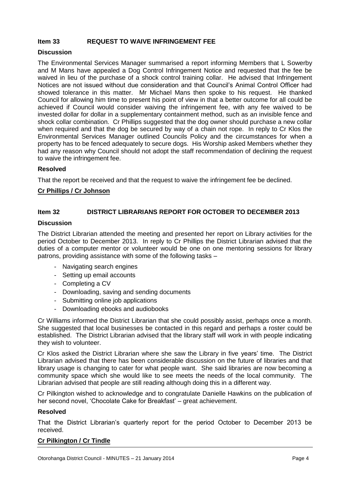#### **Item 33 REQUEST TO WAIVE INFRINGEMENT FEE**

#### **Discussion**

The Environmental Services Manager summarised a report informing Members that L Sowerby and M Mans have appealed a Dog Control Infringement Notice and requested that the fee be waived in lieu of the purchase of a shock control training collar. He advised that Infringement Notices are not issued without due consideration and that Council's Animal Control Officer had showed tolerance in this matter. Mr Michael Mans then spoke to his request. He thanked Council for allowing him time to present his point of view in that a better outcome for all could be achieved if Council would consider waiving the infringement fee, with any fee waived to be invested dollar for dollar in a supplementary containment method, such as an invisible fence and shock collar combination. Cr Phillips suggested that the dog owner should purchase a new collar when required and that the dog be secured by way of a chain not rope. In reply to Cr Klos the Environmental Services Manager outlined Councils Policy and the circumstances for when a property has to be fenced adequately to secure dogs. His Worship asked Members whether they had any reason why Council should not adopt the staff recommendation of declining the request to waive the infringement fee.

#### **Resolved**

That the report be received and that the request to waive the infringement fee be declined.

#### **Cr Phillips / Cr Johnson**

#### **Item 32 DISTRICT LIBRARIANS REPORT FOR OCTOBER TO DECEMBER 2013**

#### **Discussion**

The District Librarian attended the meeting and presented her report on Library activities for the period October to December 2013. In reply to Cr Phillips the District Librarian advised that the duties of a computer mentor or volunteer would be one on one mentoring sessions for library patrons, providing assistance with some of the following tasks –

- Navigating search engines
- Setting up email accounts
- Completing a CV
- Downloading, saving and sending documents
- Submitting online job applications
- Downloading ebooks and audiobooks

Cr Williams informed the District Librarian that she could possibly assist, perhaps once a month. She suggested that local businesses be contacted in this regard and perhaps a roster could be established. The District Librarian advised that the library staff will work in with people indicating they wish to volunteer.

Cr Klos asked the District Librarian where she saw the Library in five years' time. The District Librarian advised that there has been considerable discussion on the future of libraries and that library usage is changing to cater for what people want. She said libraries are now becoming a community space which she would like to see meets the needs of the local community. The Librarian advised that people are still reading although doing this in a different way.

Cr Pilkington wished to acknowledge and to congratulate Danielle Hawkins on the publication of her second novel, 'Chocolate Cake for Breakfast' – great achievement.

#### **Resolved**

That the District Librarian's quarterly report for the period October to December 2013 be received.

#### **Cr Pilkington / Cr Tindle**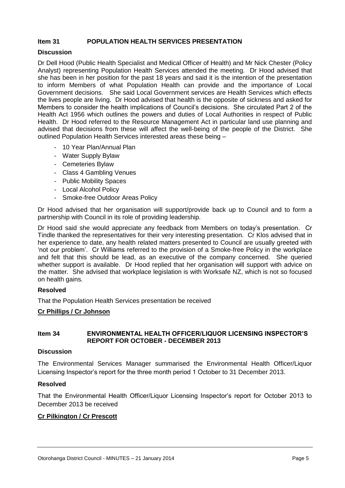#### **Item 31 POPULATION HEALTH SERVICES PRESENTATION**

#### **Discussion**

Dr Dell Hood (Public Health Specialist and Medical Officer of Health) and Mr Nick Chester (Policy Analyst) representing Population Health Services attended the meeting. Dr Hood advised that she has been in her position for the past 18 years and said it is the intention of the presentation to inform Members of what Population Health can provide and the importance of Local Government decisions. She said Local Government services are Health Services which effects the lives people are living. Dr Hood advised that health is the opposite of sickness and asked for Members to consider the health implications of Council's decisions. She circulated Part 2 of the Health Act 1956 which outlines the powers and duties of Local Authorities in respect of Public Health. Dr Hood referred to the Resource Management Act in particular land use planning and advised that decisions from these will affect the well-being of the people of the District. She outlined Population Health Services interested areas these being –

- 10 Year Plan/Annual Plan
- Water Supply Bylaw
- Cemeteries Bylaw
- Class 4 Gambling Venues
- Public Mobility Spaces
- Local Alcohol Policy
- Smoke-free Outdoor Areas Policy

Dr Hood advised that her organisation will support/provide back up to Council and to form a partnership with Council in its role of providing leadership.

Dr Hood said she would appreciate any feedback from Members on today's presentation. Cr Tindle thanked the representatives for their very interesting presentation. Cr Klos advised that in her experience to date, any health related matters presented to Council are usually greeted with 'not our problem'. Cr Williams referred to the provision of a Smoke-free Policy in the workplace and felt that this should be lead, as an executive of the company concerned. She queried whether support is available. Dr Hood replied that her organisation will support with advice on the matter. She advised that workplace legislation is with Worksafe NZ, which is not so focused on health gains.

#### **Resolved**

That the Population Health Services presentation be received

#### **Cr Phillips / Cr Johnson**

#### **Item 34 ENVIRONMENTAL HEALTH OFFICER/LIQUOR LICENSING INSPECTOR'S REPORT FOR OCTOBER - DECEMBER 2013**

#### **Discussion**

The Environmental Services Manager summarised the Environmental Health Officer/Liquor Licensing Inspector's report for the three month period 1 October to 31 December 2013.

#### **Resolved**

That the Environmental Health Officer/Liquor Licensing Inspector's report for October 2013 to December 2013 be received

#### **Cr Pilkington / Cr Prescott**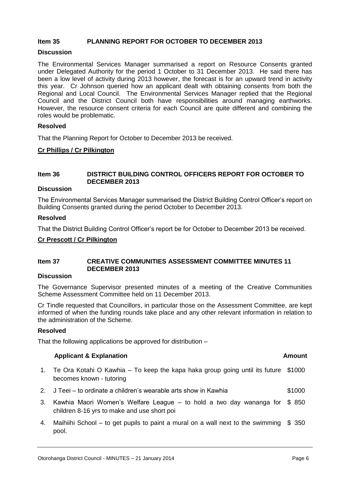#### **Item 35 PLANNING REPORT FOR OCTOBER TO DECEMBER 2013**

#### **Discussion**

The Environmental Services Manager summarised a report on Resource Consents granted under Delegated Authority for the period 1 October to 31 December 2013. He said there has been a low level of activity during 2013 however, the forecast is for an upward trend in activity this year. Cr Johnson queried how an applicant dealt with obtaining consents from both the Regional and Local Council. The Environmental Services Manager replied that the Regional Council and the District Council both have responsibilities around managing earthworks. However, the resource consent criteria for each Council are quite different and combining the roles would be problematic.

#### **Resolved**

That the Planning Report for October to December 2013 be received.

#### **Cr Phillips / Cr Pilkington**

#### **Item 36 DISTRICT BUILDING CONTROL OFFICERS REPORT FOR OCTOBER TO DECEMBER 2013**

#### **Discussion**

The Environmental Services Manager summarised the District Building Control Officer's report on Building Consents granted during the period October to December 2013.

#### **Resolved**

That the District Building Control Officer's report be for October to December 2013 be received.

#### **Cr Prescott / Cr Pilkington**

#### **Item 37 CREATIVE COMMUNITIES ASSESSMENT COMMITTEE MINUTES 11 DECEMBER 2013**

#### **Discussion**

The Governance Supervisor presented minutes of a meeting of the Creative Communities Scheme Assessment Committee held on 11 December 2013.

Cr Tindle requested that Councillors, in particular those on the Assessment Committee, are kept informed of when the funding rounds take place and any other relevant information in relation to the administration of the Scheme.

#### **Resolved**

That the following applications be approved for distribution –

#### **Applicant & Explanation Amount**

- 1. Te Ora Kotahi O Kawhia To keep the kapa haka group going until its future \$1000 becomes known - tutoring
- 2. J Teei to ordinate a children's wearable arts show in Kawhia \$1000
- 3. Kawhia Maori Women's Welfare League to hold a two day wananga for \$ 850 children 8-16 yrs to make and use short poi
- 4. Maihiihi School to get pupils to paint a mural on a wall next to the swimming \$ 350pool.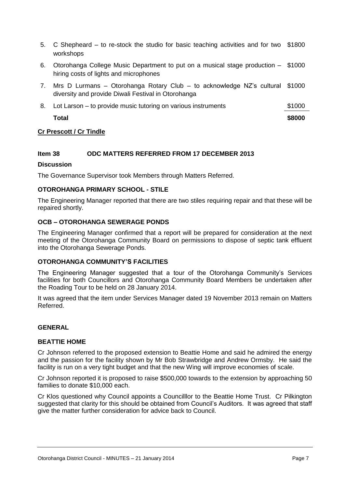- 5. C Shepheard to re-stock the studio for basic teaching activities and for two \$1800 workshops
- 6. Otorohanga College Music Department to put on a musical stage production \$1000 hiring costs of lights and microphones
- 7. Mrs D Lurmans Otorohanga Rotary Club to acknowledge NZ's cultural \$1000 diversity and provide Diwali Festival in Otorohanga
- 8. Lot Larson to provide music tutoring on various instruments  $\sim$  \$1000 **Total \$8000**

#### **Cr Prescott / Cr Tindle**

#### **Item 38 ODC MATTERS REFERRED FROM 17 DECEMBER 2013**

#### **Discussion**

The Governance Supervisor took Members through Matters Referred.

#### **OTOROHANGA PRIMARY SCHOOL - STILE**

The Engineering Manager reported that there are two stiles requiring repair and that these will be repaired shortly.

#### **OCB – OTOROHANGA SEWERAGE PONDS**

The Engineering Manager confirmed that a report will be prepared for consideration at the next meeting of the Otorohanga Community Board on permissions to dispose of septic tank effluent into the Otorohanga Sewerage Ponds.

#### **OTOROHANGA COMMUNITY'S FACILITIES**

The Engineering Manager suggested that a tour of the Otorohanga Community's Services facilities for both Councillors and Otorohanga Community Board Members be undertaken after the Roading Tour to be held on 28 January 2014.

It was agreed that the item under Services Manager dated 19 November 2013 remain on Matters Referred.

#### **GENERAL**

#### **BEATTIE HOME**

Cr Johnson referred to the proposed extension to Beattie Home and said he admired the energy and the passion for the facility shown by Mr Bob Strawbridge and Andrew Ormsby. He said the facility is run on a very tight budget and that the new Wing will improve economies of scale.

Cr Johnson reported it is proposed to raise \$500,000 towards to the extension by approaching 50 families to donate \$10,000 each.

Cr Klos questioned why Council appoints a Councilllor to the Beattie Home Trust. Cr Pilkington suggested that clarity for this should be obtained from Council's Auditors. It was agreed that staff give the matter further consideration for advice back to Council.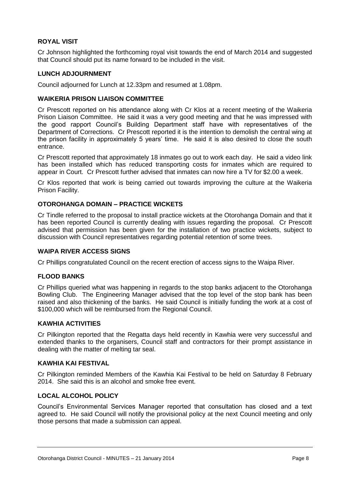#### **ROYAL VISIT**

Cr Johnson highlighted the forthcoming royal visit towards the end of March 2014 and suggested that Council should put its name forward to be included in the visit.

#### **LUNCH ADJOURNMENT**

Council adjourned for Lunch at 12.33pm and resumed at 1.08pm.

#### **WAIKERIA PRISON LIAISON COMMITTEE**

Cr Prescott reported on his attendance along with Cr Klos at a recent meeting of the Waikeria Prison Liaison Committee. He said it was a very good meeting and that he was impressed with the good rapport Council's Building Department staff have with representatives of the Department of Corrections. Cr Prescott reported it is the intention to demolish the central wing at the prison facility in approximately 5 years' time. He said it is also desired to close the south entrance.

Cr Prescott reported that approximately 18 inmates go out to work each day. He said a video link has been installed which has reduced transporting costs for inmates which are required to appear in Court. Cr Prescott further advised that inmates can now hire a TV for \$2.00 a week.

Cr Klos reported that work is being carried out towards improving the culture at the Waikeria Prison Facility.

#### **OTOROHANGA DOMAIN – PRACTICE WICKETS**

Cr Tindle referred to the proposal to install practice wickets at the Otorohanga Domain and that it has been reported Council is currently dealing with issues regarding the proposal. Cr Prescott advised that permission has been given for the installation of two practice wickets, subject to discussion with Council representatives regarding potential retention of some trees.

#### **WAIPA RIVER ACCESS SIGNS**

Cr Phillips congratulated Council on the recent erection of access signs to the Waipa River.

#### **FLOOD BANKS**

Cr Phillips queried what was happening in regards to the stop banks adjacent to the Otorohanga Bowling Club. The Engineering Manager advised that the top level of the stop bank has been raised and also thickening of the banks. He said Council is initially funding the work at a cost of \$100,000 which will be reimbursed from the Regional Council.

#### **KAWHIA ACTIVITIES**

Cr Pilkington reported that the Regatta days held recently in Kawhia were very successful and extended thanks to the organisers, Council staff and contractors for their prompt assistance in dealing with the matter of melting tar seal.

#### **KAWHIA KAI FESTIVAL**

Cr Pilkington reminded Members of the Kawhia Kai Festival to be held on Saturday 8 February 2014. She said this is an alcohol and smoke free event.

#### **LOCAL ALCOHOL POLICY**

Council's Environmental Services Manager reported that consultation has closed and a text agreed to. He said Council will notify the provisional policy at the next Council meeting and only those persons that made a submission can appeal.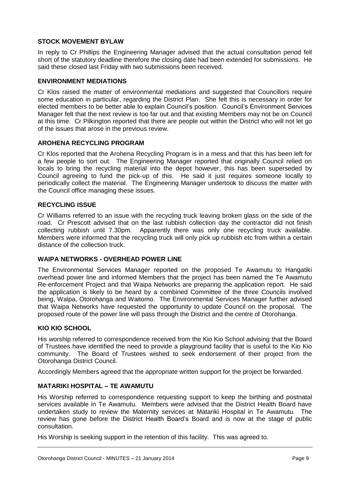#### **STOCK MOVEMENT BYLAW**

In reply to Cr Phillips the Engineering Manager advised that the actual consultation period fell short of the statutory deadline therefore the closing date had been extended for submissions. He said these closed last Friday with two submissions been received.

#### **ENVIRONMENT MEDIATIONS**

Cr Klos raised the matter of environmental mediations and suggested that Councillors require some education in particular, regarding the District Plan. She felt this is necessary in order for elected members to be better able to explain Council's position. Council's Environment Services Manager felt that the next review is too far out and that existing Members may not be on Council at this time. Cr Pilkington reported that there are people out within the District who will not let go of the issues that arose in the previous review.

#### **AROHENA RECYCLING PROGRAM**

Cr Klos reported that the Arohena Recycling Program is in a mess and that this has been left for a few people to sort out. The Engineering Manager reported that originally Council relied on locals to bring the recycling material into the depot however, this has been superseded by Council agreeing to fund the pick-up of this. He said it just requires someone locally to periodically collect the material. The Engineering Manager undertook to discuss the matter with the Council office managing these issues.

#### **RECYCLING ISSUE**

Cr Williams referred to an issue with the recycling truck leaving broken glass on the side of the road. Cr Prescott advised that on the last rubbish collection day the contractor did not finish collecting rubbish until 7.30pm. Apparently there was only one recycling truck available. Members were informed that the recycling truck will only pick up rubbish etc from within a certain distance of the collection truck.

#### **WAIPA NETWORKS - OVERHEAD POWER LINE**

The Environmental Services Manager reported on the proposed Te Awamutu to Hangatiki overhead power line and informed Members that the project has been named the Te Awamutu Re-enforcement Project and that Waipa Networks are preparing the application report. He said the application is likely to be heard by a combined Committee of the three Councils involved being, Waipa, Otorohanga and Waitomo. The Environmental Services Manager further advised that Waipa Networks have requested the opportunity to update Council on the proposal. The proposed route of the power line will pass through the District and the centre of Otorohanga.

#### **KIO KIO SCHOOL**

His worship referred to correspondence received from the Kio Kio School advising that the Board of Trustees have identified the need to provide a playground facility that is useful to the Kio Kio community. The Board of Trustees wished to seek endorsement of their project from the Otorohanga District Council.

Accordingly Members agreed that the appropriate written support for the project be forwarded.

#### **MATARIKI HOSPITAL – TE AWAMUTU**

His Worship referred to correspondence requesting support to keep the birthing and postnatal services available in Te Awamutu. Members were advised that the District Health Board have undertaken study to review the Maternity services at Matariki Hospital in Te Awamutu. The review has gone before the District Health Board's Board and is now at the stage of public consultation.

His Worship is seeking support in the retention of this facility. This was agreed to.